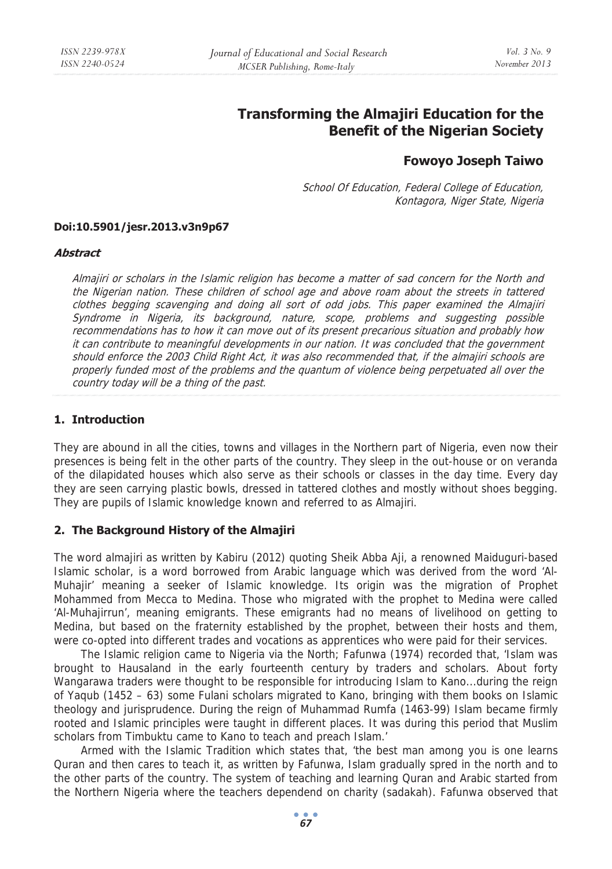# **Transforming the Almajiri Education for the Benefit of the Nigerian Society**

# **Fowoyo Joseph Taiwo**

School Of Education, Federal College of Education, Kontagora, Niger State, Nigeria

### **Doi:10.5901/jesr.2013.v3n9p67**

### **Abstract**

Almajiri or scholars in the Islamic religion has become a matter of sad concern for the North and the Nigerian nation. These children of school age and above roam about the streets in tattered clothes begging scavenging and doing all sort of odd jobs. This paper examined the Almajiri Syndrome in Nigeria, its background, nature, scope, problems and suggesting possible recommendations has to how it can move out of its present precarious situation and probably how it can contribute to meaningful developments in our nation. It was concluded that the government should enforce the 2003 Child Right Act, it was also recommended that, if the almajiri schools are properly funded most of the problems and the quantum of violence being perpetuated all over the country today will be a thing of the past.

### **1. Introduction**

They are abound in all the cities, towns and villages in the Northern part of Nigeria, even now their presences is being felt in the other parts of the country. They sleep in the out-house or on veranda of the dilapidated houses which also serve as their schools or classes in the day time. Every day they are seen carrying plastic bowls, dressed in tattered clothes and mostly without shoes begging. They are pupils of Islamic knowledge known and referred to as Almajiri.

### **2. The Background History of the Almajiri**

The word almajiri as written by Kabiru (2012) quoting Sheik Abba Aji, a renowned Maiduguri-based Islamic scholar, is a word borrowed from Arabic language which was derived from the word 'Al-Muhajir' meaning a seeker of Islamic knowledge. Its origin was the migration of Prophet Mohammed from Mecca to Medina. Those who migrated with the prophet to Medina were called 'Al-Muhajirrun', meaning emigrants. These emigrants had no means of livelihood on getting to Medina, but based on the fraternity established by the prophet, between their hosts and them, were co-opted into different trades and vocations as apprentices who were paid for their services.

The Islamic religion came to Nigeria via the North; Fafunwa (1974) recorded that, 'Islam was brought to Hausaland in the early fourteenth century by traders and scholars. About forty Wangarawa traders were thought to be responsible for introducing Islam to Kano...during the reign of Yaqub (1452 – 63) some Fulani scholars migrated to Kano, bringing with them books on Islamic theology and jurisprudence. During the reign of Muhammad Rumfa (1463-99) Islam became firmly rooted and Islamic principles were taught in different places. It was during this period that Muslim scholars from Timbuktu came to Kano to teach and preach Islam.'

Armed with the Islamic Tradition which states that, 'the best man among you is one learns Quran and then cares to teach it, as written by Fafunwa, Islam gradually spred in the north and to the other parts of the country. The system of teaching and learning Quran and Arabic started from the Northern Nigeria where the teachers dependend on charity (sadakah). Fafunwa observed that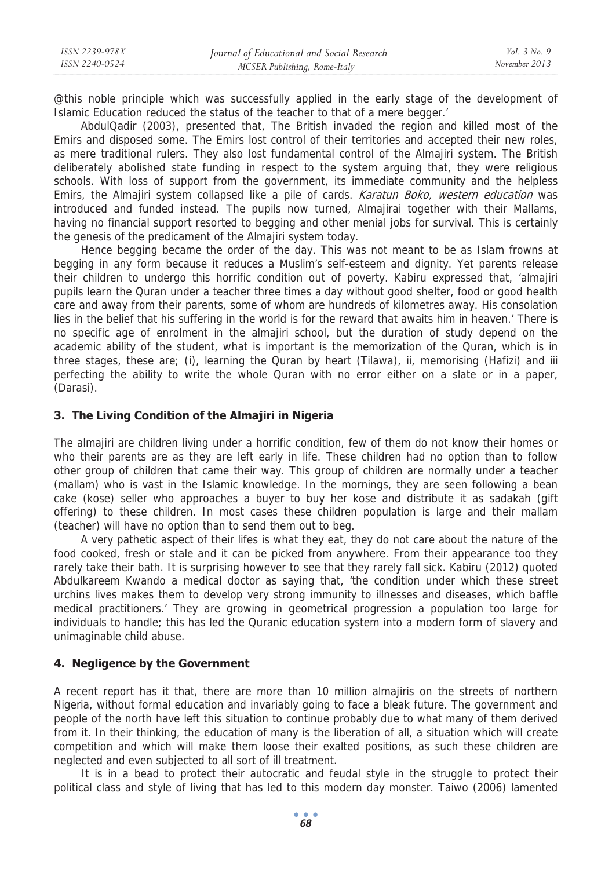@this noble principle which was successfully applied in the early stage of the development of Islamic Education reduced the status of the teacher to that of a mere begger.'

AbdulQadir (2003), presented that, The British invaded the region and killed most of the Emirs and disposed some. The Emirs lost control of their territories and accepted their new roles, as mere traditional rulers. They also lost fundamental control of the Almajiri system. The British deliberately abolished state funding in respect to the system arguing that, they were religious schools. With loss of support from the government, its immediate community and the helpless Emirs, the Almajiri system collapsed like a pile of cards. Karatun Boko, western education was introduced and funded instead. The pupils now turned, Almajirai together with their Mallams, having no financial support resorted to begging and other menial jobs for survival. This is certainly the genesis of the predicament of the Almajiri system today.

Hence begging became the order of the day. This was not meant to be as Islam frowns at begging in any form because it reduces a Muslim's self-esteem and dignity. Yet parents release their children to undergo this horrific condition out of poverty. Kabiru expressed that, 'almajiri pupils learn the Quran under a teacher three times a day without good shelter, food or good health care and away from their parents, some of whom are hundreds of kilometres away. His consolation lies in the belief that his suffering in the world is for the reward that awaits him in heaven.' There is no specific age of enrolment in the almajiri school, but the duration of study depend on the academic ability of the student, what is important is the memorization of the Quran, which is in three stages, these are; (i), learning the Quran by heart (Tilawa), ii, memorising (Hafizi) and iii perfecting the ability to write the whole Quran with no error either on a slate or in a paper, (Darasi).

# **3. The Living Condition of the Almajiri in Nigeria**

The almajiri are children living under a horrific condition, few of them do not know their homes or who their parents are as they are left early in life. These children had no option than to follow other group of children that came their way. This group of children are normally under a teacher (mallam) who is vast in the Islamic knowledge. In the mornings, they are seen following a bean cake (kose) seller who approaches a buyer to buy her kose and distribute it as sadakah (gift offering) to these children. In most cases these children population is large and their mallam (teacher) will have no option than to send them out to beg.

A very pathetic aspect of their lifes is what they eat, they do not care about the nature of the food cooked, fresh or stale and it can be picked from anywhere. From their appearance too they rarely take their bath. It is surprising however to see that they rarely fall sick. Kabiru (2012) quoted Abdulkareem Kwando a medical doctor as saying that, 'the condition under which these street urchins lives makes them to develop very strong immunity to illnesses and diseases, which baffle medical practitioners.' They are growing in geometrical progression a population too large for individuals to handle; this has led the Quranic education system into a modern form of slavery and unimaginable child abuse.

# **4. Negligence by the Government**

A recent report has it that, there are more than 10 million almajiris on the streets of northern Nigeria, without formal education and invariably going to face a bleak future. The government and people of the north have left this situation to continue probably due to what many of them derived from it. In their thinking, the education of many is the liberation of all, a situation which will create competition and which will make them loose their exalted positions, as such these children are neglected and even subjected to all sort of ill treatment.

It is in a bead to protect their autocratic and feudal style in the struggle to protect their political class and style of living that has led to this modern day monster. Taiwo (2006) lamented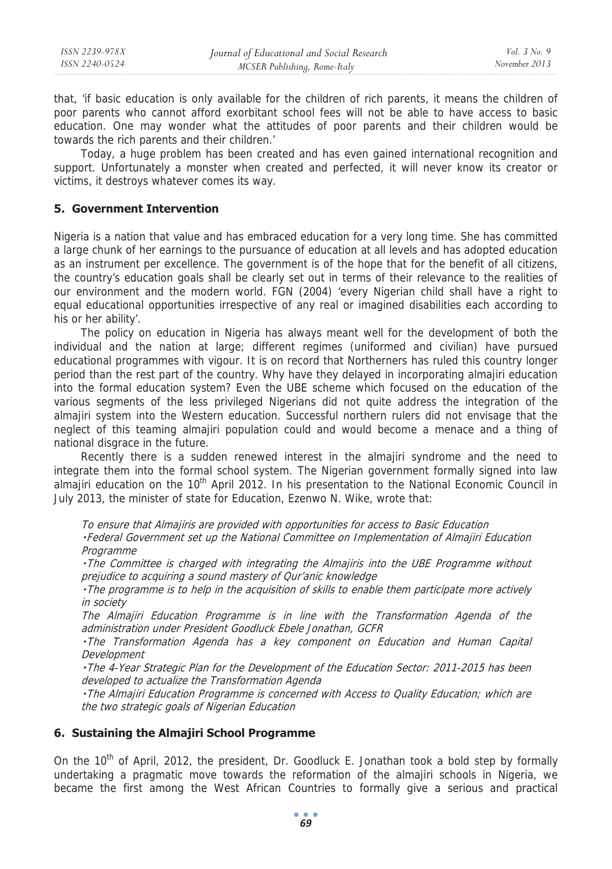| ISSN 2239-978X | Journal of Educational and Social Research | <i>Vol.</i> $3$ No. 9 |
|----------------|--------------------------------------------|-----------------------|
| ISSN 2240-0524 | MCSER Publishing, Rome-Italy               | November 2013         |

that, 'if basic education is only available for the children of rich parents, it means the children of poor parents who cannot afford exorbitant school fees will not be able to have access to basic education. One may wonder what the attitudes of poor parents and their children would be towards the rich parents and their children.'

Today, a huge problem has been created and has even gained international recognition and support. Unfortunately a monster when created and perfected, it will never know its creator or victims, it destroys whatever comes its way.

### **5. Government Intervention**

Nigeria is a nation that value and has embraced education for a very long time. She has committed a large chunk of her earnings to the pursuance of education at all levels and has adopted education as an instrument per excellence. The government is of the hope that for the benefit of all citizens, the country's education goals shall be clearly set out in terms of their relevance to the realities of our environment and the modern world. FGN (2004) 'every Nigerian child shall have a right to equal educational opportunities irrespective of any real or imagined disabilities each according to his or her ability'.

The policy on education in Nigeria has always meant well for the development of both the individual and the nation at large; different regimes (uniformed and civilian) have pursued educational programmes with vigour. It is on record that Northerners has ruled this country longer period than the rest part of the country. Why have they delayed in incorporating almajiri education into the formal education system? Even the UBE scheme which focused on the education of the various segments of the less privileged Nigerians did not quite address the integration of the almajiri system into the Western education. Successful northern rulers did not envisage that the neglect of this teaming almajiri population could and would become a menace and a thing of national disgrace in the future.

Recently there is a sudden renewed interest in the almajiri syndrome and the need to integrate them into the formal school system. The Nigerian government formally signed into law almajiri education on the  $10<sup>th</sup>$  April 2012. In his presentation to the National Economic Council in July 2013, the minister of state for Education, Ezenwo N. Wike, wrote that:

To ensure that Almajiris are provided with opportunities for access to Basic Education

<sup>兟</sup>Federal Government set up the National Committee on Implementation of Almajiri Education **Programme** 

<sup>兟</sup>The Committee is charged with integrating the Almajiris into the UBE Programme without prejudice to acquiring a sound mastery of Qur'anic knowledge

<sup>兟</sup>The programme is to help in the acquisition of skills to enable them participate more actively in society

The Almajiri Education Programme is in line with the Transformation Agenda of the administration under President Goodluck Ebele Jonathan, GCFR

<sup>兟</sup>The Transformation Agenda has a key component on Education and Human Capital Development

<sup>兟</sup>The 4-Year Strategic Plan for the Development of the Education Sector: 2011-2015 has been developed to actualize the Transformation Agenda

<sup>兟</sup>The Almajiri Education Programme is concerned with Access to Quality Education; which are the two strategic goals of Nigerian Education

### **6. Sustaining the Almajiri School Programme**

On the 10<sup>th</sup> of April, 2012, the president, Dr. Goodluck E. Jonathan took a bold step by formally undertaking a pragmatic move towards the reformation of the almajiri schools in Nigeria, we became the first among the West African Countries to formally give a serious and practical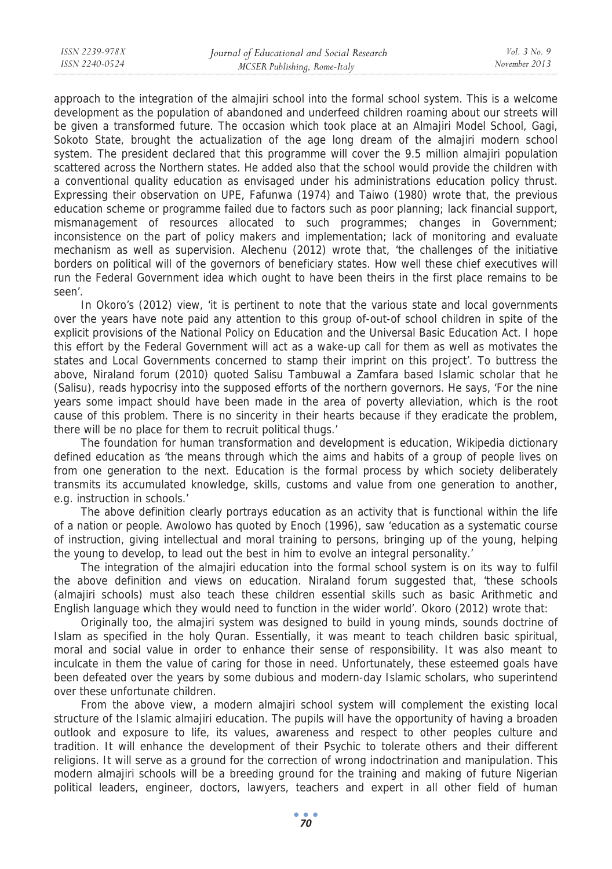approach to the integration of the almajiri school into the formal school system. This is a welcome development as the population of abandoned and underfeed children roaming about our streets will be given a transformed future. The occasion which took place at an Almajiri Model School, Gagi, Sokoto State, brought the actualization of the age long dream of the almajiri modern school system. The president declared that this programme will cover the 9.5 million almajiri population scattered across the Northern states. He added also that the school would provide the children with a conventional quality education as envisaged under his administrations education policy thrust. Expressing their observation on UPE, Fafunwa (1974) and Taiwo (1980) wrote that, the previous education scheme or programme failed due to factors such as poor planning; lack financial support, mismanagement of resources allocated to such programmes; changes in Government; inconsistence on the part of policy makers and implementation; lack of monitoring and evaluate mechanism as well as supervision. Alechenu (2012) wrote that, 'the challenges of the initiative borders on political will of the governors of beneficiary states. How well these chief executives will run the Federal Government idea which ought to have been theirs in the first place remains to be seen'.

In Okoro's (2012) view, 'it is pertinent to note that the various state and local governments over the years have note paid any attention to this group of-out-of school children in spite of the explicit provisions of the National Policy on Education and the Universal Basic Education Act. I hope this effort by the Federal Government will act as a wake-up call for them as well as motivates the states and Local Governments concerned to stamp their imprint on this project'. To buttress the above, Niraland forum (2010) quoted Salisu Tambuwal a Zamfara based Islamic scholar that he (Salisu), reads hypocrisy into the supposed efforts of the northern governors. He says, 'For the nine years some impact should have been made in the area of poverty alleviation, which is the root cause of this problem. There is no sincerity in their hearts because if they eradicate the problem, there will be no place for them to recruit political thugs.'

The foundation for human transformation and development is education, Wikipedia dictionary defined education as 'the means through which the aims and habits of a group of people lives on from one generation to the next. Education is the formal process by which society deliberately transmits its accumulated knowledge, skills, customs and value from one generation to another, e.g. instruction in schools.'

The above definition clearly portrays education as an activity that is functional within the life of a nation or people. Awolowo has quoted by Enoch (1996), saw 'education as a systematic course of instruction, giving intellectual and moral training to persons, bringing up of the young, helping the young to develop, to lead out the best in him to evolve an integral personality.'

The integration of the almajiri education into the formal school system is on its way to fulfil the above definition and views on education. Niraland forum suggested that, 'these schools (almajiri schools) must also teach these children essential skills such as basic Arithmetic and English language which they would need to function in the wider world'. Okoro (2012) wrote that:

Originally too, the almajiri system was designed to build in young minds, sounds doctrine of Islam as specified in the holy Quran. Essentially, it was meant to teach children basic spiritual, moral and social value in order to enhance their sense of responsibility. It was also meant to inculcate in them the value of caring for those in need. Unfortunately, these esteemed goals have been defeated over the years by some dubious and modern-day Islamic scholars, who superintend over these unfortunate children.

From the above view, a modern almajiri school system will complement the existing local structure of the Islamic almajiri education. The pupils will have the opportunity of having a broaden outlook and exposure to life, its values, awareness and respect to other peoples culture and tradition. It will enhance the development of their Psychic to tolerate others and their different religions. It will serve as a ground for the correction of wrong indoctrination and manipulation. This modern almajiri schools will be a breeding ground for the training and making of future Nigerian political leaders, engineer, doctors, lawyers, teachers and expert in all other field of human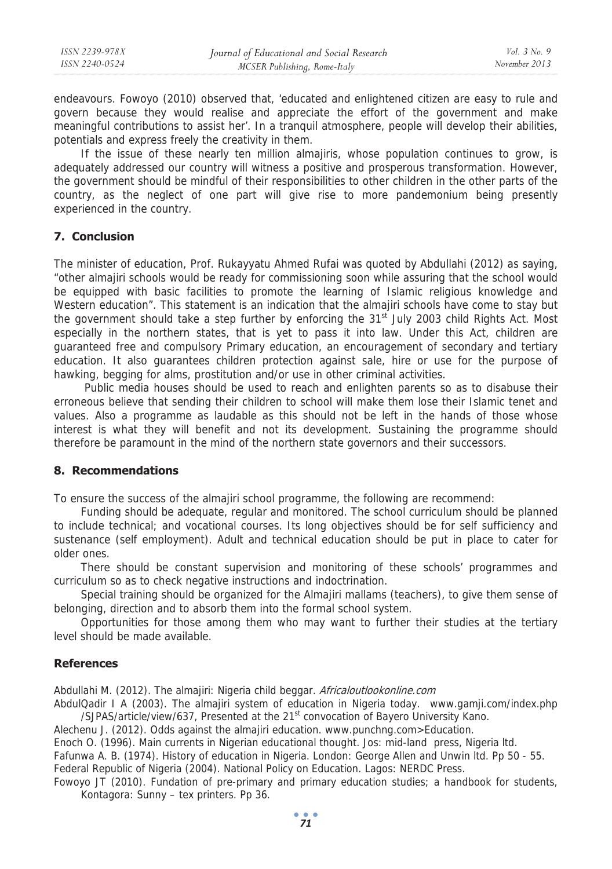| ISSN 2239-978X | Journal of Educational and Social Research | <i>Vol.</i> 3 No. 9 |
|----------------|--------------------------------------------|---------------------|
| ISSN 2240-0524 | MCSER Publishing, Rome-Italy               | November 2013       |

endeavours. Fowoyo (2010) observed that, 'educated and enlightened citizen are easy to rule and govern because they would realise and appreciate the effort of the government and make meaningful contributions to assist her'. In a tranquil atmosphere, people will develop their abilities, potentials and express freely the creativity in them.

If the issue of these nearly ten million almajiris, whose population continues to grow, is adequately addressed our country will witness a positive and prosperous transformation. However, the government should be mindful of their responsibilities to other children in the other parts of the country, as the neglect of one part will give rise to more pandemonium being presently experienced in the country.

### **7. Conclusion**

The minister of education, Prof. Rukayyatu Ahmed Rufai was quoted by Abdullahi (2012) as saying, "other almajiri schools would be ready for commissioning soon while assuring that the school would be equipped with basic facilities to promote the learning of Islamic religious knowledge and Western education". This statement is an indication that the almajiri schools have come to stay but the government should take a step further by enforcing the 31<sup>st</sup> July 2003 child Rights Act. Most especially in the northern states, that is yet to pass it into law. Under this Act, children are guaranteed free and compulsory Primary education, an encouragement of secondary and tertiary education. It also guarantees children protection against sale, hire or use for the purpose of hawking, begging for alms, prostitution and/or use in other criminal activities.

 Public media houses should be used to reach and enlighten parents so as to disabuse their erroneous believe that sending their children to school will make them lose their Islamic tenet and values. Also a programme as laudable as this should not be left in the hands of those whose interest is what they will benefit and not its development. Sustaining the programme should therefore be paramount in the mind of the northern state governors and their successors.

## **8. Recommendations**

To ensure the success of the almajiri school programme, the following are recommend:

Funding should be adequate, regular and monitored. The school curriculum should be planned to include technical; and vocational courses. Its long objectives should be for self sufficiency and sustenance (self employment). Adult and technical education should be put in place to cater for older ones.

There should be constant supervision and monitoring of these schools' programmes and curriculum so as to check negative instructions and indoctrination.

Special training should be organized for the Almajiri mallams (teachers), to give them sense of belonging, direction and to absorb them into the formal school system.

Opportunities for those among them who may want to further their studies at the tertiary level should be made available.

### **References**

Abdullahi M. (2012). The almajiri: Nigeria child beggar. Africaloutlookonline.com

AbdulQadir I A (2003). The almajiri system of education in Nigeria today. www.gamji.com/index.php /SJPAS/article/view/637, Presented at the 21st convocation of Bayero University Kano.

Alechenu J. (2012). Odds against the almajiri education. www.punchng.com>Education.

Enoch O. (1996). Main currents in Nigerian educational thought. Jos: mid-land press, Nigeria ltd.

Fafunwa A. B. (1974). History of education in Nigeria. London: George Allen and Unwin ltd. Pp 50 - 55. Federal Republic of Nigeria (2004). National Policy on Education. Lagos: NERDC Press.

Fowoyo JT (2010). Fundation of pre-primary and primary education studies; a handbook for students,

Kontagora: Sunny – tex printers. Pp 36.